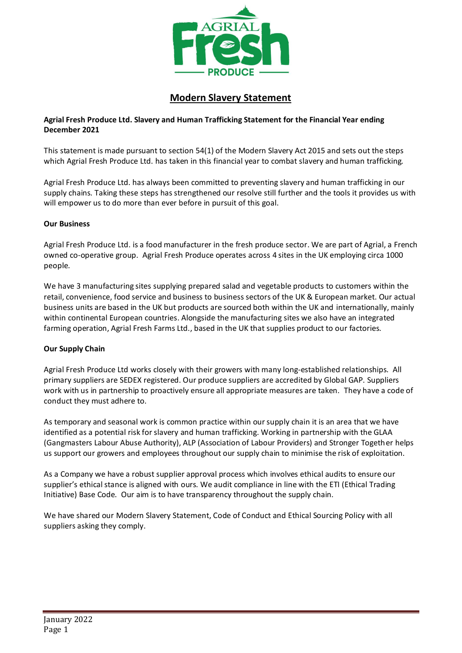

## **Modern Slavery Statement**

## **Agrial Fresh Produce Ltd. Slavery and Human Trafficking Statement for the Financial Year ending December 2021**

This statement is made pursuant to section 54(1) of the Modern Slavery Act 2015 and sets out the steps which Agrial Fresh Produce Ltd. has taken in this financial year to combat slavery and human trafficking.

Agrial Fresh Produce Ltd. has always been committed to preventing slavery and human trafficking in our supply chains. Taking these steps has strengthened our resolve still further and the tools it provides us with will empower us to do more than ever before in pursuit of this goal.

## **Our Business**

Agrial Fresh Produce Ltd. is a food manufacturer in the fresh produce sector. We are part of Agrial, a French owned co-operative group. Agrial Fresh Produce operates across 4 sites in the UK employing circa 1000 people.

We have 3 manufacturing sites supplying prepared salad and vegetable products to customers within the retail, convenience, food service and business to business sectors of the UK & European market. Our actual business units are based in the UK but products are sourced both within the UK and internationally, mainly within continental European countries. Alongside the manufacturing sites we also have an integrated farming operation, Agrial Fresh Farms Ltd., based in the UK that supplies product to our factories.

## **Our Supply Chain**

Agrial Fresh Produce Ltd works closely with their growers with many long-established relationships. All primary suppliers are SEDEX registered. Our produce suppliers are accredited by Global GAP. Suppliers work with us in partnership to proactively ensure all appropriate measures are taken. They have a code of conduct they must adhere to.

As temporary and seasonal work is common practice within our supply chain it is an area that we have identified as a potential risk for slavery and human trafficking. Working in partnership with the GLAA (Gangmasters Labour Abuse Authority), ALP (Association of Labour Providers) and Stronger Together helps us support our growers and employees throughout our supply chain to minimise the risk of exploitation.

As a Company we have a robust supplier approval process which involves ethical audits to ensure our supplier's ethical stance is aligned with ours. We audit compliance in line with the ETI (Ethical Trading Initiative) Base Code. Our aim is to have transparency throughout the supply chain.

We have shared our Modern Slavery Statement, Code of Conduct and Ethical Sourcing Policy with all suppliers asking they comply.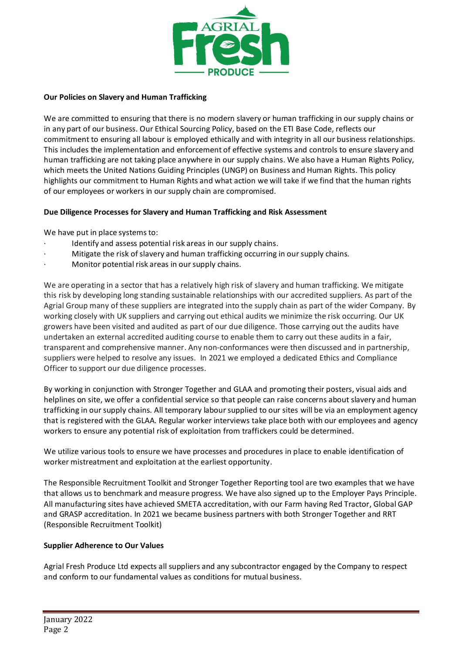

### **Our Policies on Slavery and Human Trafficking**

We are committed to ensuring that there is no modern slavery or human trafficking in our supply chains or in any part of our business. Our Ethical Sourcing Policy, based on the ETI Base Code, reflects our commitment to ensuring all labour is employed ethically and with integrity in all our business relationships. This includes the implementation and enforcement of effective systems and controls to ensure slavery and human trafficking are not taking place anywhere in our supply chains. We also have a Human Rights Policy, which meets the United Nations Guiding Principles (UNGP) on Business and Human Rights. This policy highlights our commitment to Human Rights and what action we will take if we find that the human rights of our employees or workers in our supply chain are compromised.

#### **Due Diligence Processes for Slavery and Human Trafficking and Risk Assessment**

We have put in place systems to:

- Identify and assess potential risk areas in our supply chains.
- Mitigate the risk of slavery and human trafficking occurring in our supply chains.
- Monitor potential risk areas in our supply chains.

We are operating in a sector that has a relatively high risk of slavery and human trafficking. We mitigate this risk by developing long standing sustainable relationships with our accredited suppliers. As part of the Agrial Group many of these suppliers are integrated into the supply chain as part of the wider Company. By working closely with UK suppliers and carrying out ethical audits we minimize the risk occurring. Our UK growers have been visited and audited as part of our due diligence. Those carrying out the audits have undertaken an external accredited auditing course to enable them to carry out these audits in a fair, transparent and comprehensive manner. Any non-conformances were then discussed and in partnership, suppliers were helped to resolve any issues. In 2021 we employed a dedicated Ethics and Compliance Officer to support our due diligence processes.

By working in conjunction with Stronger Together and GLAA and promoting their posters, visual aids and helplines on site, we offer a confidential service so that people can raise concerns about slavery and human trafficking in our supply chains. All temporary labour supplied to our sites will be via an employment agency that is registered with the GLAA. Regular worker interviews take place both with our employees and agency workers to ensure any potential risk of exploitation from traffickers could be determined.

We utilize various tools to ensure we have processes and procedures in place to enable identification of worker mistreatment and exploitation at the earliest opportunity.

The Responsible Recruitment Toolkit and Stronger Together Reporting tool are two examples that we have that allows us to benchmark and measure progress. We have also signed up to the Employer Pays Principle. All manufacturing sites have achieved SMETA accreditation, with our Farm having Red Tractor, Global GAP and GRASP accreditation. In 2021 we became business partners with both Stronger Together and RRT (Responsible Recruitment Toolkit)

#### **Supplier Adherence to Our Values**

Agrial Fresh Produce Ltd expects all suppliers and any subcontractor engaged by the Company to respect and conform to our fundamental values as conditions for mutual business.